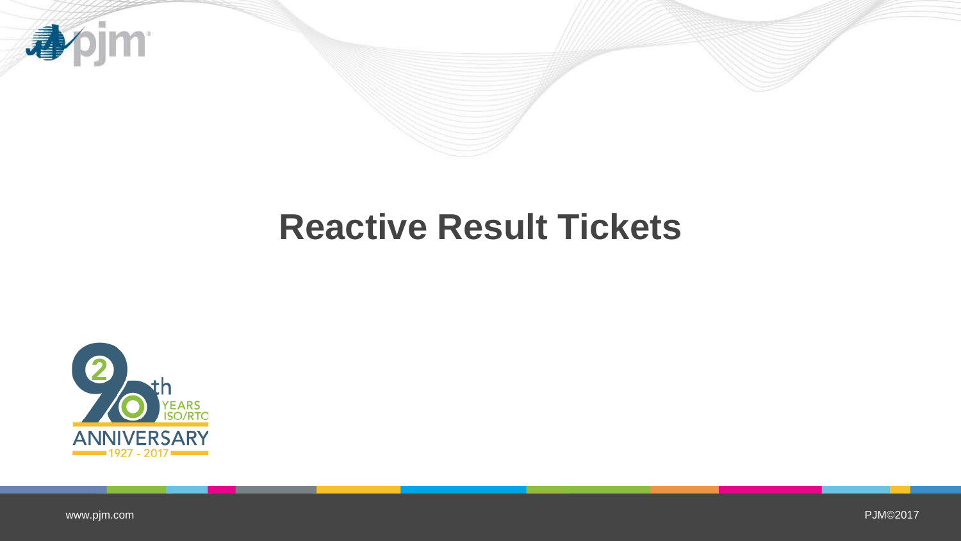



[www.pjm.com](http://www.pjm.com/)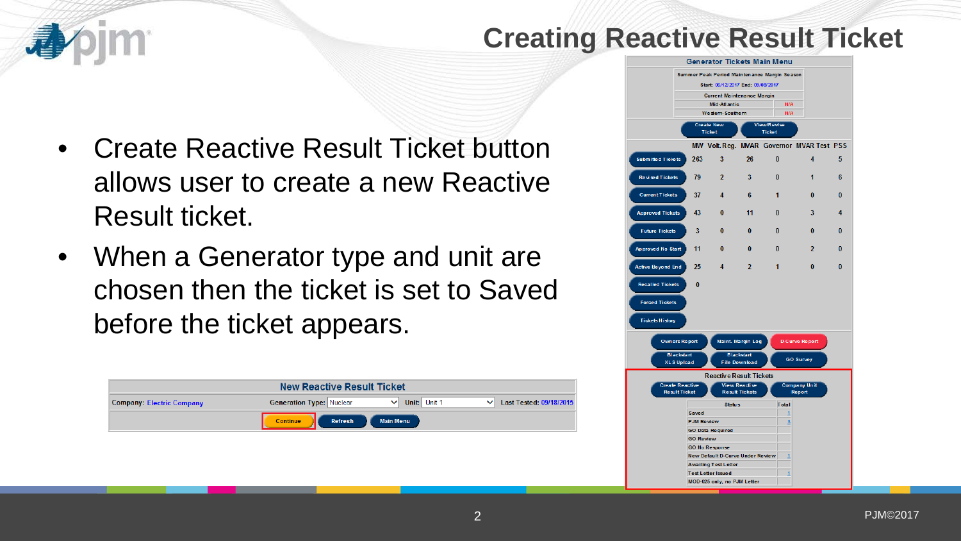

## **Creating Reactive Result Ticket**

- Create Reactive Result Ticket button allows user to create a new Reactive Result ticket.
- When a Generator type and unit are chosen then the ticket is set to Saved before the ticket appears.

|                                  | <b>New Reactive Result Ticket</b>                                                                          |  |
|----------------------------------|------------------------------------------------------------------------------------------------------------|--|
| <b>Company: Electric Company</b> | <b>Generation Type: Nuclear</b><br>Unit: Unit 1<br>Last Tested: 09/18/2015<br>$\checkmark$<br>$\checkmark$ |  |
|                                  | <b>Continue</b><br><b>Main Menu</b><br>Refresh                                                             |  |
|                                  |                                                                                                            |  |
|                                  |                                                                                                            |  |
|                                  |                                                                                                            |  |

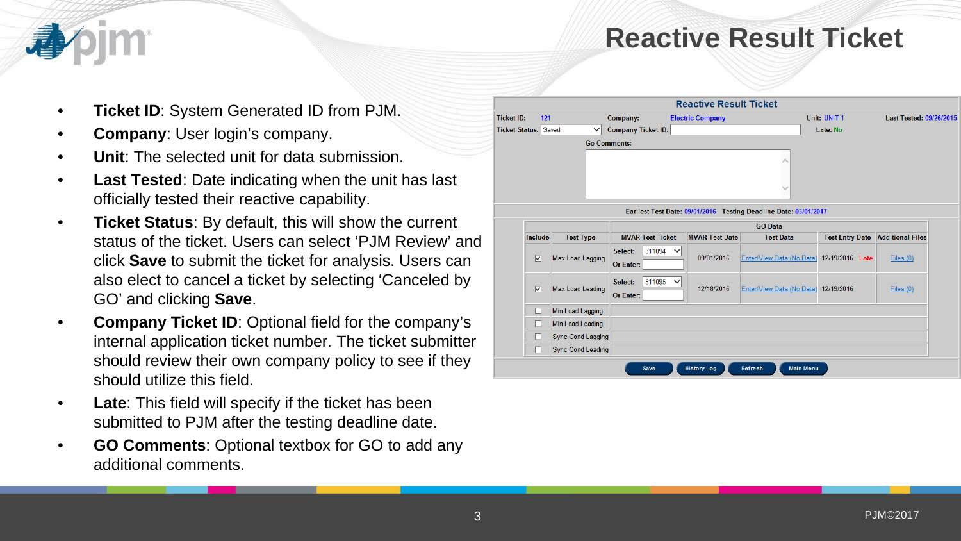- **Ticket ID**: System Generated ID from PJM.
- **Company**: User login's company.
- **Unit:** The selected unit for data submission.
- **Last Tested:** Date indicating when the unit has last officially tested their reactive capability.
- **Ticket Status**: By default, this will show the current status of the ticket. Users can select 'PJM Review' and click **Save** to submit the ticket for analysis. Users can also elect to cancel a ticket by selecting 'Canceled by GO' and clicking **Save**.
- **Company Ticket ID**: Optional field for the company's internal application ticket number. The ticket submitter should review their own company policy to see if they should utilize this field.
- **Late**: This field will specify if the ticket has been submitted to PJM after the testing deadline date.
- **GO Comments**: Optional textbox for GO to add any additional comments.

|                      |                         |                          |                                | <b>Reactive Result Ticket</b> |                                                                  |                 |                                         |  |
|----------------------|-------------------------|--------------------------|--------------------------------|-------------------------------|------------------------------------------------------------------|-----------------|-----------------------------------------|--|
| <b>Ticket ID:</b>    | 121                     |                          | Company:                       | <b>Electric Company</b>       |                                                                  | Unit: UNIT 1    | Last Tested: 09/26/2015                 |  |
| Ticket Status: Saved |                         | $\checkmark$             | <b>Company Ticket ID:</b>      |                               |                                                                  | Late: No        |                                         |  |
|                      |                         | <b>Go Comments:</b>      |                                |                               |                                                                  |                 |                                         |  |
|                      |                         |                          |                                |                               | ∧<br>$\checkmark$                                                |                 |                                         |  |
|                      |                         |                          |                                |                               | Earliest Test Date: 09/01/2016 Testing Deadline Date: 03/01/2017 |                 |                                         |  |
|                      |                         |                          |                                | <b>MVAR Test Date</b>         | <b>GO Data</b>                                                   |                 |                                         |  |
|                      | Include                 | <b>Test Type</b>         | <b>MVAR Test Ticket</b>        |                               | <b>Test Data</b>                                                 |                 | <b>Test Entry Date Additional Files</b> |  |
|                      | $\overline{\mathbf{v}}$ | Max Load Lagging         | 311094<br>Select:<br>Or Enter: | $\checkmark$<br>09/01/2016    | Enter/View Data (No Data)                                        | 12/19/2016 Late | Files(0)                                |  |
|                      | $\overline{\mathbf{v}}$ | Max Load Leading         | 311095<br>Select:<br>Or Enter: | $\checkmark$<br>12/18/2016    | Enter/View Data (No Data) 12/19/2016                             |                 | Files (0)                               |  |
|                      | П                       | Min Load Lagging         |                                |                               |                                                                  |                 |                                         |  |
|                      | □                       | Min Load Leading         |                                |                               |                                                                  |                 |                                         |  |
|                      | ш                       | <b>Sync Cond Lagging</b> |                                |                               |                                                                  |                 |                                         |  |
|                      |                         | <b>Sync Cond Leading</b> |                                |                               |                                                                  |                 |                                         |  |
|                      |                         |                          | Save                           | <b>History Log</b>            | Refresh<br><b>Main Menu</b>                                      |                 |                                         |  |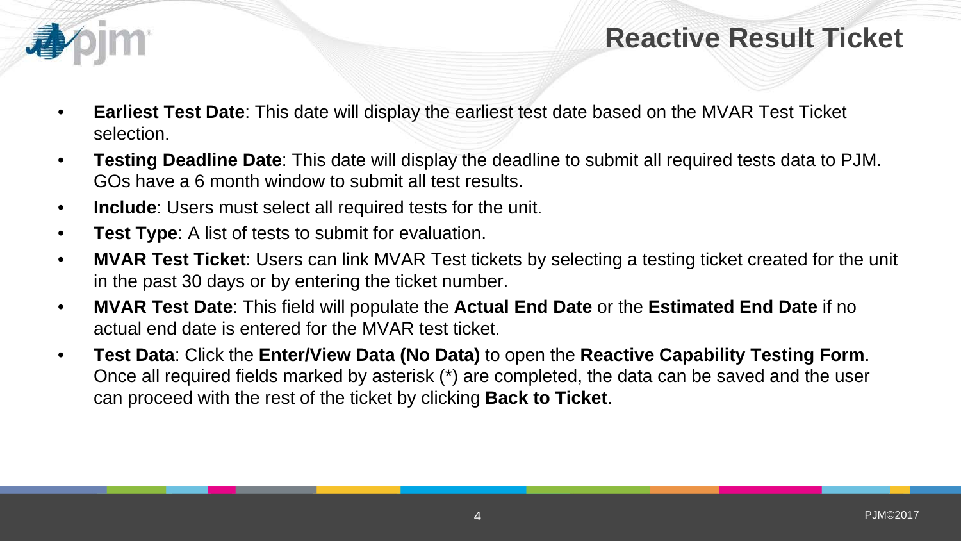

- **Earliest Test Date**: This date will display the earliest test date based on the MVAR Test Ticket selection.
- **Testing Deadline Date**: This date will display the deadline to submit all required tests data to PJM. GOs have a 6 month window to submit all test results.
- **Include**: Users must select all required tests for the unit.
- **Test Type**: A list of tests to submit for evaluation.
- **MVAR Test Ticket**: Users can link MVAR Test tickets by selecting a testing ticket created for the unit in the past 30 days or by entering the ticket number.
- **MVAR Test Date**: This field will populate the **Actual End Date** or the **Estimated End Date** if no actual end date is entered for the MVAR test ticket.
- **Test Data**: Click the **Enter/View Data (No Data)** to open the **Reactive Capability Testing Form**. Once all required fields marked by asterisk (\*) are completed, the data can be saved and the user can proceed with the rest of the ticket by clicking **Back to Ticket**.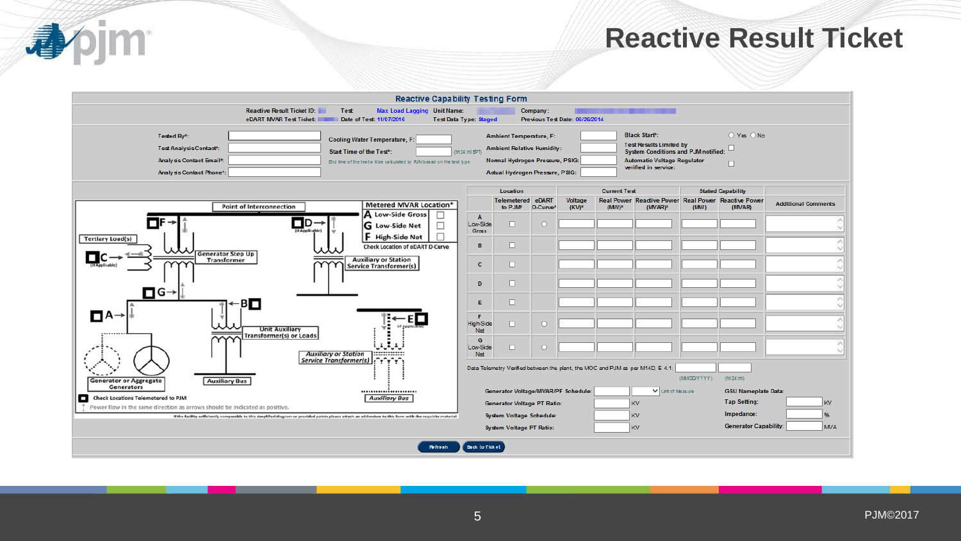

| <b>Reactive Capability Testing Form</b>                                                                                                                   |                               |                                     |                   |                                |                     |                                                                                |            |                                                               |                            |
|-----------------------------------------------------------------------------------------------------------------------------------------------------------|-------------------------------|-------------------------------------|-------------------|--------------------------------|---------------------|--------------------------------------------------------------------------------|------------|---------------------------------------------------------------|----------------------------|
| <b>Reactive Result Ticket ID:</b><br>Max Load Lagging Unit Name:<br>Test:                                                                                 |                               |                                     | Company:          |                                |                     | ------                                                                         |            |                                                               |                            |
| eDART MVAR Test Ticket: New<br>Date of Test: 11/07/2016                                                                                                   | <b>Test Data Type: Staged</b> |                                     |                   | Previous Test Date: 06/26/2014 |                     |                                                                                |            |                                                               |                            |
| Tested By*:<br><b>Cooling Water Temperature, F:</b>                                                                                                       |                               | <b>Ambient Temperature, F:</b>      |                   |                                |                     | <b>Black Start*:</b>                                                           |            | O Yes O No                                                    |                            |
| Test Analysis Contact*:<br>Start Time of the Test*:                                                                                                       | (hh 24 :ml EPT)               | <b>Ambient Relative Humidity:</b>   |                   |                                |                     | <b>Test Results Limited by</b><br><b>System Conditions and PJM notified:</b>   |            |                                                               |                            |
| Analysis Contact Email*:<br>End time of the test will be calculated by RJM based on the test type.                                                        |                               | Normal Hydrogen Pressure, PSIG:     |                   |                                |                     | <b>Automatic Voltage Regulator</b><br>verified in service:                     |            | п                                                             |                            |
| Analysis Contact Phone*:                                                                                                                                  |                               | Actual Hydrogen Pressure, PSIG:     |                   |                                |                     |                                                                                |            |                                                               |                            |
|                                                                                                                                                           |                               | Location                            |                   |                                | <b>Current Test</b> |                                                                                |            | <b>Stated Capability</b>                                      |                            |
| <b>Metered MVAR Location*</b><br><b>Point of Interconnection</b>                                                                                          |                               | Telemetered<br>to PJM*              | eDART<br>D-Curve* | Voltage<br>$(KV)^*$            | $(MW)^*$            | $(MVAR)*$                                                                      | (MW)       | Real Power Reactive Power Real Power Reactive Power<br>(MVAR) | <b>Additional Comments</b> |
| A Low-Side Gross<br>⊟D-                                                                                                                                   | $\mathbf{A}$<br>Low-Side      | $\Box$                              | O                 |                                |                     |                                                                                |            |                                                               |                            |
| □<br>G Low-Side Net<br>If Applicable)<br>F High-Side Net                                                                                                  | Gross                         |                                     |                   |                                |                     |                                                                                |            |                                                               |                            |
| <b>Tertiary Load(s)</b><br>Check Location of eDART D-Curve                                                                                                | в                             | 0                                   |                   |                                |                     |                                                                                |            |                                                               |                            |
| <b>Generator Step Up</b><br><b>Auxiliary or Station</b><br>Transformer                                                                                    | c.                            | 0                                   |                   |                                |                     |                                                                                |            |                                                               |                            |
| <b>Service Transformer(s)</b>                                                                                                                             |                               |                                     |                   |                                |                     |                                                                                |            |                                                               |                            |
| $\Box$ G $\rightarrow$                                                                                                                                    | D                             | □                                   |                   |                                |                     |                                                                                |            |                                                               |                            |
| $\mathbf{B}$                                                                                                                                              | Е                             | □                                   |                   |                                |                     |                                                                                |            |                                                               |                            |
| ⊟A→                                                                                                                                                       | F                             |                                     |                   |                                |                     |                                                                                |            |                                                               |                            |
| <b>Unit Auxiliary</b>                                                                                                                                     | <b>High-Side</b><br>Net       | 0                                   | о                 |                                |                     |                                                                                |            |                                                               |                            |
| <br><b>Transformer(s) or Loads</b>                                                                                                                        | G                             |                                     |                   |                                |                     |                                                                                |            |                                                               |                            |
| <b>Auxiliary or Station</b><br>                                                                                                                           | Low-Side<br><b>Net</b>        | □                                   | $\circ$           |                                |                     |                                                                                |            |                                                               |                            |
| Service Transformer(s)<br>r^r^r^r^i                                                                                                                       |                               |                                     |                   |                                |                     | Data Telemetry Verified between the plant, the MOC and PJM as per M14D, E 4.1: |            |                                                               |                            |
| <b>Auxiliary Bus</b><br><b>Generator or Aggregate</b>                                                                                                     |                               |                                     |                   |                                |                     |                                                                                | (MMDDYYYY) | (hh24;m)                                                      |                            |
| Generators<br><br>Check Locations Telemetered to PJM<br>o<br><b>Auxiliary Bus</b>                                                                         |                               | Generator Voltage/MVAR/PF Schedule: |                   |                                |                     | Unit of Measure                                                                |            | <b>GSU Nameplate Data:</b>                                    |                            |
| Power flow in the same direction as arrows should be indicated as positive.                                                                               |                               | <b>Generator Voltage PT Ratio:</b>  |                   |                                |                     | <b>KV</b>                                                                      |            | <b>Tap Setting:</b>                                           | <b>KV</b>                  |
| If the facility sufficiently comparable to this simplified diagram or provided points please attach an addendum to this form with the requisite material. |                               | System Voltage Schedule:            |                   |                                |                     | <b>KV</b>                                                                      |            | Impedance:<br><b>Generator Capability:</b>                    | 96<br><b>MVA</b>           |
|                                                                                                                                                           |                               | System Voltage PT Ratio:            |                   |                                |                     | <b>KV</b>                                                                      |            |                                                               |                            |
| Refresh                                                                                                                                                   | <b>Back to Ticket</b>         |                                     |                   |                                |                     |                                                                                |            |                                                               |                            |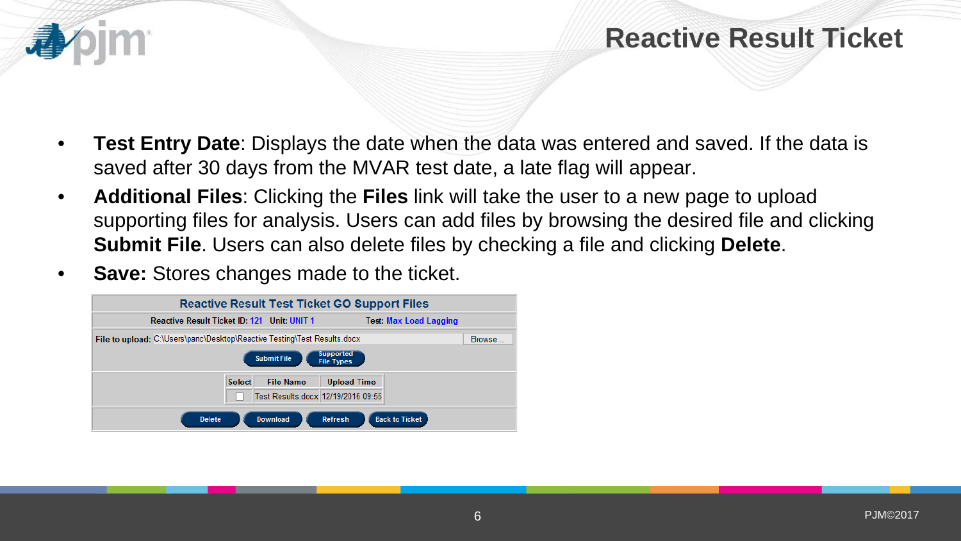- **Test Entry Date**: Displays the date when the data was entered and saved. If the data is saved after 30 days from the MVAR test date, a late flag will appear.
- **Additional Files**: Clicking the **Files** link will take the user to a new page to upload supporting files for analysis. Users can add files by browsing the desired file and clicking **Submit File**. Users can also delete files by checking a file and clicking **Delete**.
- **Save:** Stores changes made to the ticket.

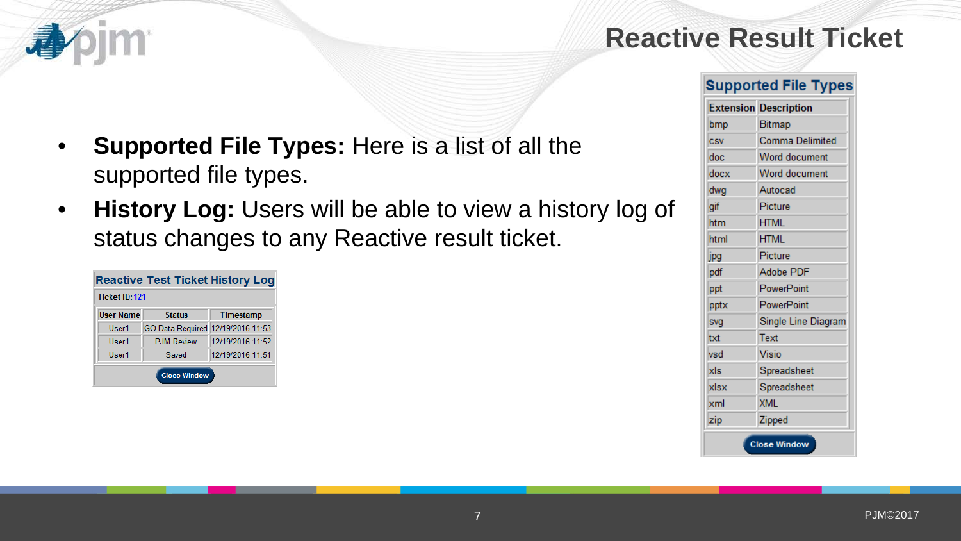# 看

#### **Supported File Types**

| Supported File Types: Here is a list of all the |  |
|-------------------------------------------------|--|
| supported file types.                           |  |

• **History Log:** Users will be able to view a history log of status changes to any Reactive result ticket.

|                  | <b>Reactive Test Ticket History Log</b> |                  |
|------------------|-----------------------------------------|------------------|
| Ticket ID:121    |                                         |                  |
| <b>User Name</b> | <b>Status</b>                           | Timestamp        |
| User1            | GO Data Required 12/19/2016 11:53       |                  |
| User1            | <b>PJM Review</b>                       | 12/19/2016 11:52 |
| User1            | Saved                                   | 12/19/2016 11:51 |
|                  | <b>Close Window</b>                     |                  |

| <b>Extension</b> | <b>Description</b>   |
|------------------|----------------------|
| bmp              | Bitmap               |
| <b>CSV</b>       | Comma Delimited      |
| doc              | <b>Word document</b> |
| docx             | <b>Word document</b> |
| dwg              | Autocad              |
| gif              | Picture              |
| htm              | <b>HTML</b>          |
| html             | <b>HTML</b>          |
| jpg              | Picture              |
| pdf              | Adobe PDF            |
| ppt              | PowerPoint           |
| pptx             | PowerPoint           |
| svg              | Single Line Diagram  |
| txt              | Text                 |
| vsd              | Visio                |
| xls              | Spreadsheet          |
| xlsx             | Spreadsheet          |
| xml              | <b>XML</b>           |
| zip              | Zipped               |
|                  | <b>Close Window</b>  |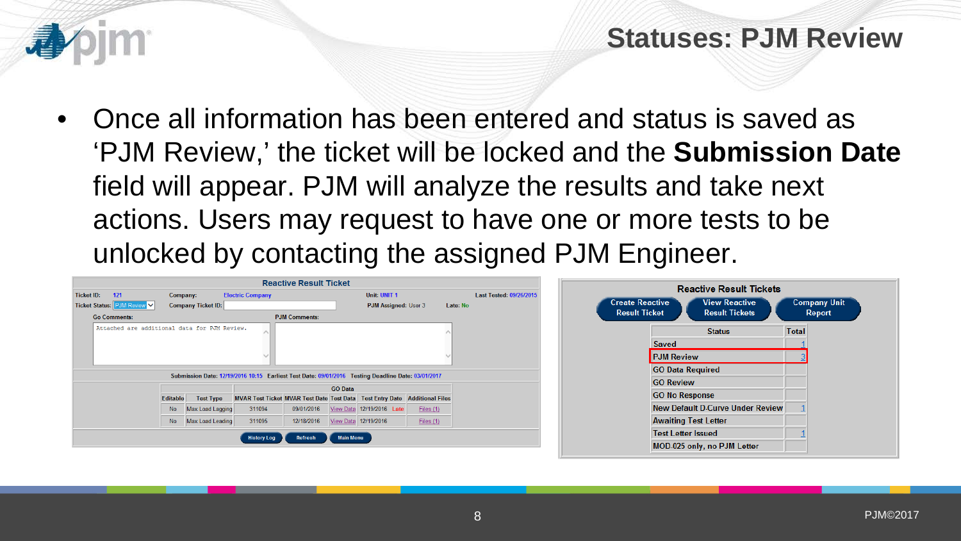## **Statuses: PJM Review**

• Once all information has been entered and status is saved as 'PJM Review,' the ticket will be locked and the **Submission Date** field will appear. PJM will analyze the results and take next actions. Users may request to have one or more tests to be unlocked by contacting the assigned PJM Engineer.

|                                              |           |                           |                                                                                                    | <b>Reactive Result Ticket</b> |                  |                           |           |          |                         |
|----------------------------------------------|-----------|---------------------------|----------------------------------------------------------------------------------------------------|-------------------------------|------------------|---------------------------|-----------|----------|-------------------------|
| 121<br><b>Ticket ID:</b>                     | Company:  |                           | <b>Electric Company</b>                                                                            |                               |                  | Unit: UNIT 1              |           |          | Last Tested: 09/26/2015 |
| Ticket Status: PJM Review V                  |           | <b>Company Ticket ID:</b> |                                                                                                    |                               |                  | PJM Assigned: User 3      |           | Late: No |                         |
| <b>Go Comments:</b>                          |           |                           |                                                                                                    | <b>PJM Comments:</b>          |                  |                           |           |          |                         |
| Attached are additional data for PJM Review. |           |                           |                                                                                                    |                               |                  |                           |           |          |                         |
|                                              |           |                           |                                                                                                    |                               |                  |                           |           |          |                         |
|                                              |           |                           |                                                                                                    |                               |                  |                           |           |          |                         |
|                                              |           |                           |                                                                                                    |                               |                  |                           |           |          |                         |
|                                              |           |                           | Submission Date: 12/19/2016 10:15 Earliest Test Date: 09/01/2016 Testing Deadline Date: 03/01/2017 |                               |                  |                           |           |          |                         |
|                                              |           |                           |                                                                                                    |                               | <b>GO</b> Data   |                           |           |          |                         |
|                                              | Editable  | <b>Test Type</b>          | MVAR Test Ticket MVAR Test Date Test Data Test Entry Date Additional Files                         |                               |                  |                           |           |          |                         |
|                                              | <b>No</b> | Max Load Lagging          | 311094                                                                                             | 09/01/2016                    |                  | View Data 12/19/2016 Late | Files (1) |          |                         |
|                                              | <b>No</b> | Max Load Leading          | 311095                                                                                             | 12/18/2016                    |                  | View Data 12/19/2016      | Files (1) |          |                         |
|                                              |           |                           | <b>History Log</b>                                                                                 | Refresh                       | <b>Main Menu</b> |                           |           |          |                         |
|                                              |           |                           |                                                                                                    |                               |                  |                           |           |          |                         |
|                                              |           |                           |                                                                                                    |                               |                  |                           |           |          |                         |

Company Unit Report

Total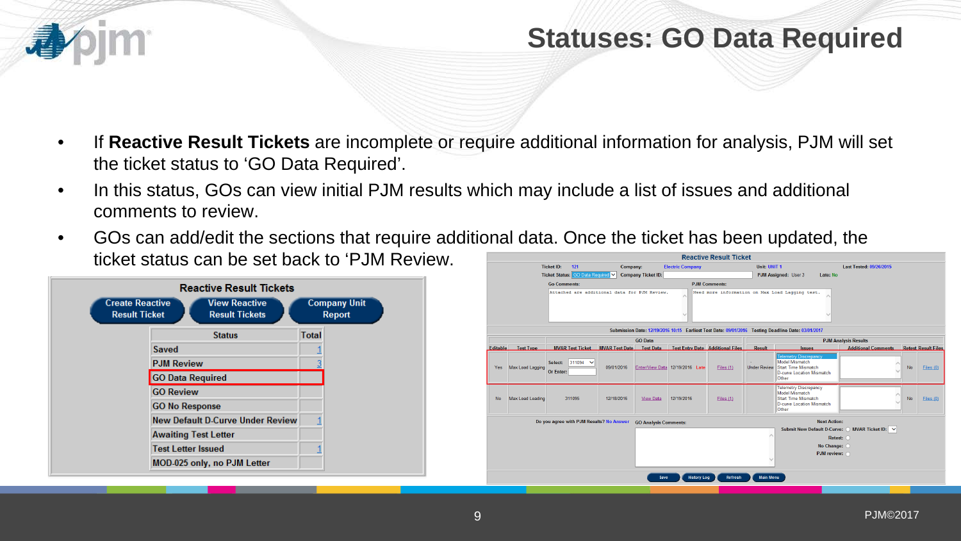## **Statuses: GO Data Required**

- If **Reactive Result Tickets** are incomplete or require additional information for analysis, PJM will set the ticket status to 'GO Data Required'.
- In this status, GOs can view initial PJM results which may include a list of issues and additional comments to review.
- GOs can add/edit the sections that require additional data. Once the ticket has been updated, the ticket status can be set back to 'PJM Review.



|           |                  |                                                  |            |                              |                                         | <b>Reactive Result Ticket</b> |                     |                                                                                                                    |                                                           |    |                            |
|-----------|------------------|--------------------------------------------------|------------|------------------------------|-----------------------------------------|-------------------------------|---------------------|--------------------------------------------------------------------------------------------------------------------|-----------------------------------------------------------|----|----------------------------|
|           |                  | <b>Ticket ID:</b><br>121                         | Company:   |                              | <b>Electric Company</b>                 |                               | Unit: UNIT 1        |                                                                                                                    | Last Tested: 09/26/2015                                   |    |                            |
|           |                  | Ticket Status: GO Data Required V                |            | <b>Company Ticket ID:</b>    |                                         |                               |                     | PJM Assigned: User 3<br>Late: No                                                                                   |                                                           |    |                            |
|           |                  | <b>Go Comments:</b>                              |            |                              |                                         | <b>PJM Comments:</b>          |                     |                                                                                                                    |                                                           |    |                            |
|           |                  | Attached are additional data for PJM Review.     |            |                              |                                         |                               |                     | Need more information on Max Load Lagging test.                                                                    |                                                           |    |                            |
|           |                  |                                                  |            | <b>GO Data</b>               |                                         |                               |                     | Submission Date: 12/19/2016 10:15 Earliest Test Date: 09/01/2016 Testing Deadline Date: 03/01/2017                 |                                                           |    |                            |
| Editable  | <b>Test Type</b> | <b>MVAR Test Ticket MVAR Test Date</b> Test Data |            |                              | <b>Test Entry Date Additional Files</b> |                               | Result              | <b>Issues</b>                                                                                                      | <b>PJM Analysis Results</b><br><b>Additional Comments</b> |    | <b>Retest Result Files</b> |
| Yes       | Max Load Lagging | $311094$ $\sim$<br>Select:<br>Or Enter:          | 09/01/2016 |                              | Enter/View Data 12/19/2016 Late         | Files (1)                     | <b>Under Review</b> | <b>Telemetry Discrepancy</b><br>Model Mismatch<br>Start Time Mismatch<br>D-curve Location Mismatch<br><b>Other</b> |                                                           | No | Files (0)                  |
| <b>No</b> | Max Load Leading | 311095                                           | 12/18/2016 | <b>View Data</b>             | 12/19/2016                              | Files $(1)$                   |                     | <b>Telemetry Discrepancy</b><br>Model Mismatch<br>Start Time Mismatch<br>D-curve Location Mismatch<br><b>Other</b> |                                                           | No | Files (0)                  |
|           |                  | Do you agree with PJM Results? No Answer         |            | <b>GO Analysis Comments:</b> |                                         |                               |                     | <b>Next Action:</b>                                                                                                |                                                           |    |                            |
|           |                  |                                                  |            |                              |                                         |                               |                     | Submit New Default D-Curve: O MVAR Ticket ID: $\vee$                                                               |                                                           |    |                            |
|           |                  |                                                  |            |                              |                                         |                               |                     | Retest: O                                                                                                          |                                                           |    |                            |
|           |                  |                                                  |            |                              |                                         |                               |                     | No Change: O<br>PJM review: O                                                                                      |                                                           |    |                            |
|           |                  |                                                  |            | Save                         | <b>History Log</b>                      | Refresh                       | <b>Main Menu</b>    |                                                                                                                    |                                                           |    |                            |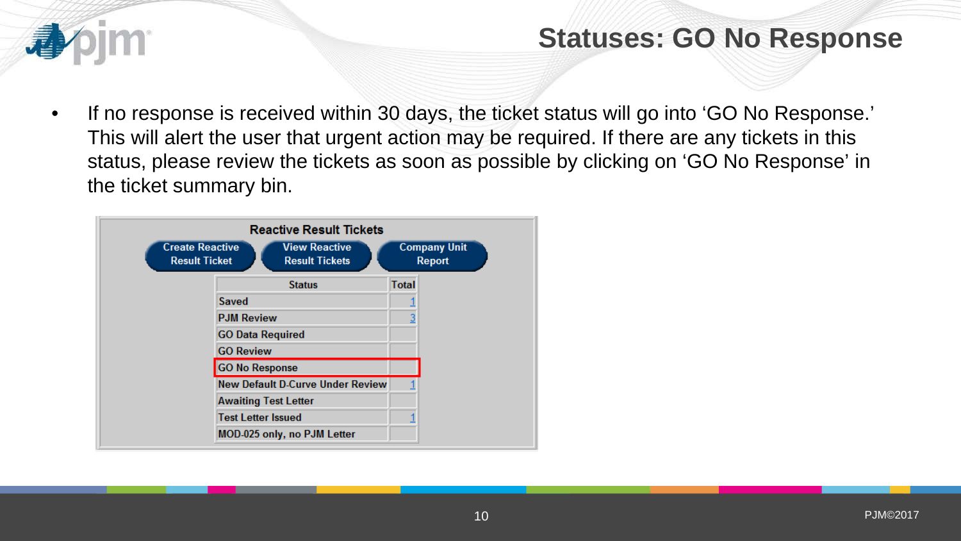

## **Statuses: GO No Response**

• If no response is received within 30 days, the ticket status will go into 'GO No Response.' This will alert the user that urgent action may be required. If there are any tickets in this status, please review the tickets as soon as possible by clicking on 'GO No Response' in the ticket summary bin.

| <b>Create Reactive</b><br><b>Result Ticket</b> | <b>Reactive Result Tickets</b><br><b>View Reactive</b><br><b>Result Tickets</b> | <b>Company Unit</b><br><b>Report</b> |
|------------------------------------------------|---------------------------------------------------------------------------------|--------------------------------------|
|                                                | <b>Status</b>                                                                   | <b>Total</b>                         |
|                                                | <b>Saved</b>                                                                    |                                      |
|                                                | <b>PJM Review</b>                                                               |                                      |
|                                                | <b>GO Data Required</b>                                                         |                                      |
|                                                | <b>GO Review</b>                                                                |                                      |
|                                                | <b>GO No Response</b>                                                           |                                      |
|                                                | <b>New Default D-Curve Under Review</b>                                         |                                      |
|                                                | <b>Awaiting Test Letter</b>                                                     |                                      |
|                                                | <b>Test Letter Issued</b>                                                       |                                      |
|                                                | MOD-025 only, no PJM Letter                                                     |                                      |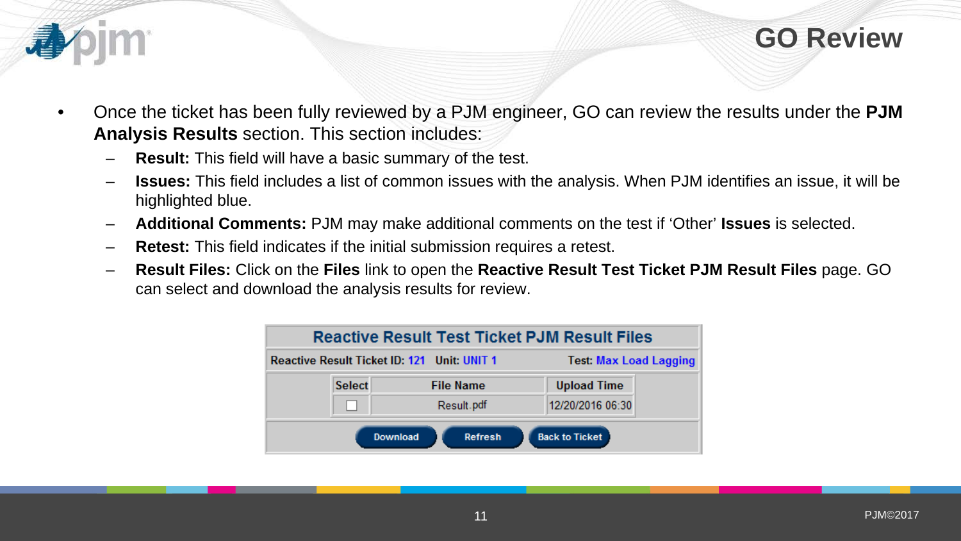



- Once the ticket has been fully reviewed by a PJM engineer, GO can review the results under the **PJM Analysis Results** section. This section includes:
	- **Result:** This field will have a basic summary of the test.
	- **Issues:** This field includes a list of common issues with the analysis. When PJM identifies an issue, it will be highlighted blue.
	- **Additional Comments:** PJM may make additional comments on the test if 'Other' **Issues** is selected.
	- **Retest:** This field indicates if the initial submission requires a retest.
	- **Result Files:** Click on the **Files** link to open the **Reactive Result Test Ticket PJM Result Files** page. GO can select and download the analysis results for review.

|               | <b>Reactive Result Test Ticket PJM Result Files</b> |                               |  |
|---------------|-----------------------------------------------------|-------------------------------|--|
|               | Reactive Result Ticket ID: 121 Unit: UNIT 1         | <b>Test: Max Load Lagging</b> |  |
| <b>Select</b> | <b>File Name</b>                                    | <b>Upload Time</b>            |  |
|               | Result.pdf                                          | 12/20/2016 06:30              |  |
|               | <b>Download</b><br>Refresh                          | <b>Back to Ticket</b>         |  |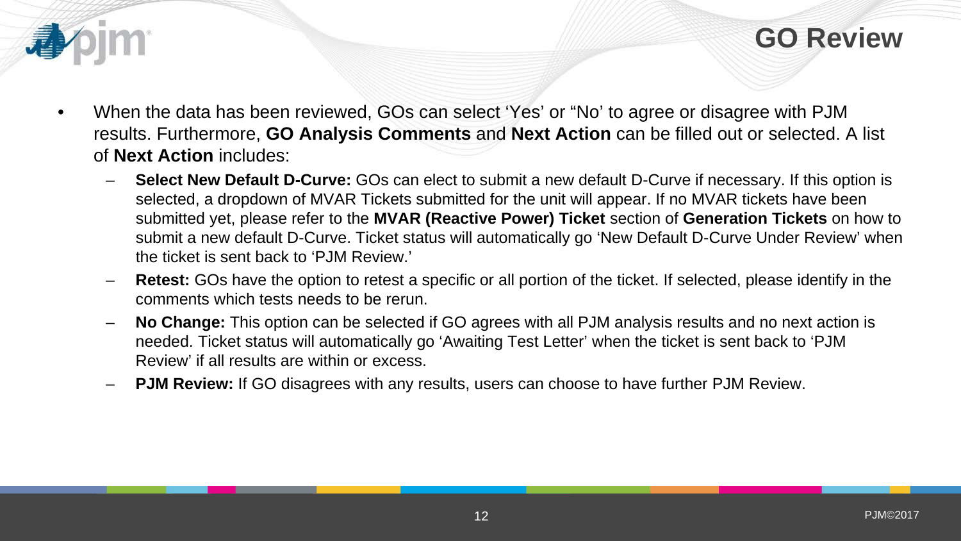

**GO Review** 

- When the data has been reviewed, GOs can select 'Yes' or "No' to agree or disagree with PJM results. Furthermore, **GO Analysis Comments** and **Next Action** can be filled out or selected. A list of **Next Action** includes:
	- **Select New Default D-Curve:** GOs can elect to submit a new default D-Curve if necessary. If this option is selected, a dropdown of MVAR Tickets submitted for the unit will appear. If no MVAR tickets have been submitted yet, please refer to the **MVAR (Reactive Power) Ticket** section of **Generation Tickets** on how to submit a new default D-Curve. Ticket status will automatically go 'New Default D-Curve Under Review' when the ticket is sent back to 'PJM Review.'
	- **Retest:** GOs have the option to retest a specific or all portion of the ticket. If selected, please identify in the comments which tests needs to be rerun.
	- **No Change:** This option can be selected if GO agrees with all PJM analysis results and no next action is needed. Ticket status will automatically go 'Awaiting Test Letter' when the ticket is sent back to 'PJM Review' if all results are within or excess.
	- **PJM Review:** If GO disagrees with any results, users can choose to have further PJM Review.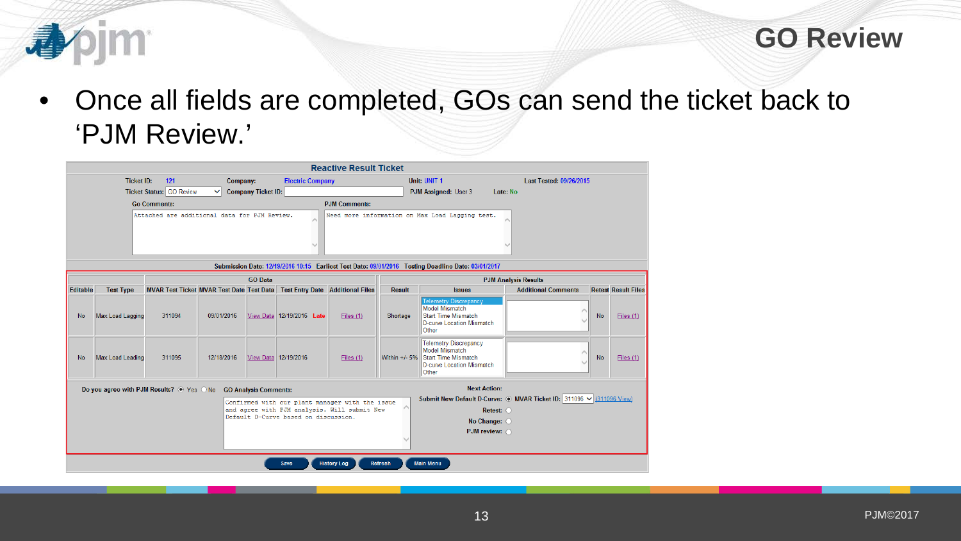

• Once all fields are completed, GOs can send the ticket back to 'PJM Review.'

|                 |                   |                                                  |              |                              |                                              | <b>Reactive Result Ticket</b>                                                                                         |                 |                                                                                                                                                       |                             |                            |           |                            |
|-----------------|-------------------|--------------------------------------------------|--------------|------------------------------|----------------------------------------------|-----------------------------------------------------------------------------------------------------------------------|-----------------|-------------------------------------------------------------------------------------------------------------------------------------------------------|-----------------------------|----------------------------|-----------|----------------------------|
|                 | <b>Ticket ID:</b> | 121                                              | Company:     |                              | <b>Electric Company</b>                      |                                                                                                                       |                 | Unit: UNIT 1                                                                                                                                          |                             | Last Tested: 09/26/2015    |           |                            |
|                 |                   | <b>Ticket Status: GO Review</b>                  | $\checkmark$ | <b>Company Ticket ID:</b>    |                                              |                                                                                                                       |                 | PJM Assigned: User 3                                                                                                                                  | Late: No                    |                            |           |                            |
|                 |                   | <b>Go Comments:</b>                              |              |                              |                                              | <b>PJM Comments:</b>                                                                                                  |                 |                                                                                                                                                       |                             |                            |           |                            |
|                 |                   | Attached are additional data for PJM Review.     |              |                              | A<br>w                                       |                                                                                                                       |                 | Need more information on Max Load Lagging test.<br>Submission Date: 12/19/2016 10:15 Earliest Test Date: 09/01/2016 Testing Deadline Date: 03/01/2017 |                             |                            |           |                            |
|                 |                   |                                                  |              | <b>GO Data</b>               |                                              |                                                                                                                       |                 |                                                                                                                                                       | <b>PJM Analysis Results</b> |                            |           |                            |
| <b>Editable</b> | <b>Test Type</b>  | <b>MVAR Test Ticket MVAR Test Date Test Data</b> |              |                              |                                              | <b>Test Entry Date Additional Files</b>                                                                               | <b>Result</b>   | <b>Issues</b>                                                                                                                                         |                             | <b>Additional Comments</b> |           | <b>Retest Result Files</b> |
| <b>No</b>       | Max Load Lagging  | 311094                                           | 09/01/2016   |                              | View Data 12/19/2016 Late                    | Files (1)                                                                                                             | Shortage        | <b>Telemetry Discrepancy</b><br>Model Mismatch<br>Start Time Mismatch<br>D-curve Location Mismatch<br>Other                                           |                             |                            | <b>No</b> | Files (1)                  |
| No.             | Max Load Leading  | 311095                                           | 12/18/2016   | View Data 12/19/2016         |                                              | Files (1)                                                                                                             | Within $+/-$ 5% | <b>Telemetry Discrepancy</b><br>Model Mismatch<br><b>Start Time Mismatch</b><br>D-curve Location Mismatch<br><b>Other</b>                             |                             |                            | <b>No</b> | Files (1)                  |
|                 |                   | Do you agree with PJM Results? ● Yes ○ No        |              | <b>GO Analysis Comments:</b> | Default D-Curve based on discussion.<br>Save | Confirmed with our plant manager with the issue<br>and agree with PJM analysis. Will submit New<br><b>History Log</b> | Refresh         | <b>Next Action:</b><br>Submit New Default D-Curve: · MVAR Ticket ID: 311096 V (311096 View)<br>No Change: O<br>PJM review: O<br><b>Main Menu</b>      | Retest: O                   |                            |           |                            |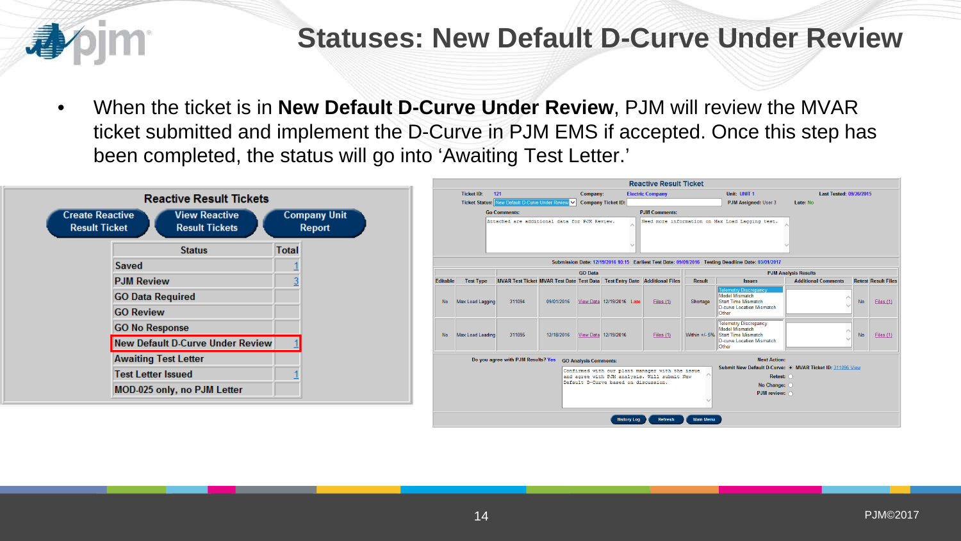

## **Statuses: New Default D-Curve Under Review**

• When the ticket is in **New Default D-Curve Under Review**, PJM will review the MVAR ticket submitted and implement the D-Curve in PJM EMS if accepted. Once this step has been completed, the status will go into 'Awaiting Test Letter.'

| <b>Create Reactive</b><br><b>Result Ticket</b> | <b>Reactive Result Tickets</b><br><b>View Reactive</b><br><b>Result Tickets</b> |                | <b>Company Unit</b><br><b>Report</b> |
|------------------------------------------------|---------------------------------------------------------------------------------|----------------|--------------------------------------|
|                                                | <b>Status</b>                                                                   | <b>Total</b>   |                                      |
|                                                | Saved                                                                           |                |                                      |
|                                                | <b>PJM Review</b>                                                               | $\overline{3}$ |                                      |
|                                                | <b>GO Data Required</b>                                                         |                |                                      |
|                                                | <b>GO Review</b>                                                                |                |                                      |
|                                                | <b>GO No Response</b>                                                           |                |                                      |
|                                                | <b>New Default D-Curve Under Review</b>                                         |                |                                      |
|                                                | <b>Awaiting Test Letter</b>                                                     |                |                                      |
|                                                | <b>Test Letter Issued</b>                                                       |                |                                      |
|                                                | MOD-025 only, no PJM Letter                                                     |                |                                      |

|                                                                                                                                                     |                         |                                                                            |                                     |                              |                                                                                                                                                               | <b>Reactive Result Ticket</b> |               |                                                                                                                                |                            |           |                            |
|-----------------------------------------------------------------------------------------------------------------------------------------------------|-------------------------|----------------------------------------------------------------------------|-------------------------------------|------------------------------|---------------------------------------------------------------------------------------------------------------------------------------------------------------|-------------------------------|---------------|--------------------------------------------------------------------------------------------------------------------------------|----------------------------|-----------|----------------------------|
| 121<br><b>Ticket ID:</b>                                                                                                                            |                         |                                                                            | <b>Electric Company</b><br>Company: |                              |                                                                                                                                                               |                               | Unit: UNIT 1  | Last Tested: 09/26/2015                                                                                                        |                            |           |                            |
| New Default D-Curve Under Review V<br><b>Ticket Status:</b>                                                                                         |                         |                                                                            | <b>Company Ticket ID:</b>           |                              |                                                                                                                                                               | PJM Assigned: User 3          | Late: No      |                                                                                                                                |                            |           |                            |
|                                                                                                                                                     |                         | <b>Go Comments:</b>                                                        |                                     |                              |                                                                                                                                                               | <b>PJM Comments:</b>          |               |                                                                                                                                |                            |           |                            |
|                                                                                                                                                     |                         | Attached are additional data for PJM Review.                               |                                     |                              |                                                                                                                                                               |                               |               | Need more information on Max Load Lagging test.                                                                                |                            |           |                            |
| Submission Date: 12/19/2016 10:15 Earliest Test Date: 09/01/2016 Testing Deadline Date: 03/01/2017<br><b>GO</b> Data<br><b>PJM Analysis Results</b> |                         |                                                                            |                                     |                              |                                                                                                                                                               |                               |               |                                                                                                                                |                            |           |                            |
| <b>Editable</b>                                                                                                                                     | <b>Test Type</b>        | MVAR Test Ticket MVAR Test Date Test Data Test Entry Date Additional Files |                                     |                              |                                                                                                                                                               |                               | <b>Result</b> | <b>Issues</b>                                                                                                                  | <b>Additional Comments</b> |           | <b>Retest Result Files</b> |
| <b>No</b>                                                                                                                                           | Max Load Lagging        | 311094                                                                     | 09/01/2016                          |                              | View Data 12/19/2016 Late                                                                                                                                     | Files (1)                     | Shortage      | <b>Telemetry Discrepancy</b><br>Model Mismatch<br>Start Time Mismatch<br>D-curve Location Mismatch<br>Other                    |                            | <b>No</b> | Files $(1)$                |
| No                                                                                                                                                  | <b>Max Load Leading</b> | 311095                                                                     | 12/18/2016                          |                              | View Data 12/19/2016                                                                                                                                          | Files (1)                     | Within +/- 5% | <b>Telemetry Discrepancy</b><br>Model Mismatch<br>Start Time Mismatch<br>D-curve Location Mismatch<br>Other                    |                            | <b>No</b> | Files (1)                  |
|                                                                                                                                                     |                         | Do you agree with PJM Results? Yes                                         |                                     | <b>GO Analysis Comments:</b> | Confirmed with our plant manager with the issue<br>and agree with PJM analysis. Will submit New<br>Default D-Curve based on discussion.<br><b>History Log</b> |                               |               | <b>Next Action:</b><br>Submit New Default D-Curve: @ MVAR Ticket ID: 311096 View<br>Retest: O<br>No Change: O<br>PJM review: O |                            |           |                            |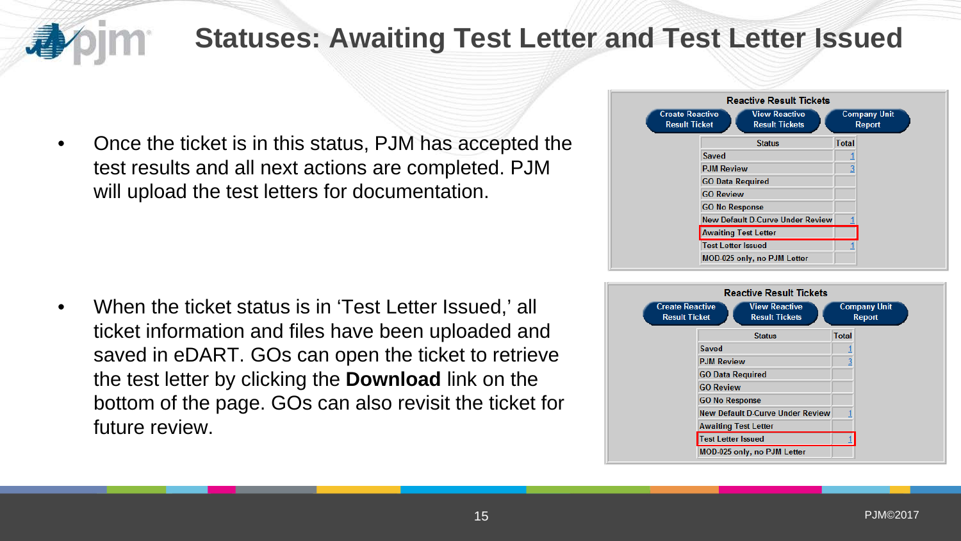

## **Statuses: Awaiting Test Letter and Test Letter Issued**

• Once the ticket is in this status, PJM has accepted the test results and all next actions are completed. PJM will upload the test letters for documentation.

• When the ticket status is in 'Test Letter Issued,' all ticket information and files have been uploaded and saved in eDART. GOs can open the ticket to retrieve the test letter by clicking the **Download** link on the bottom of the page. GOs can also revisit the ticket for future review.



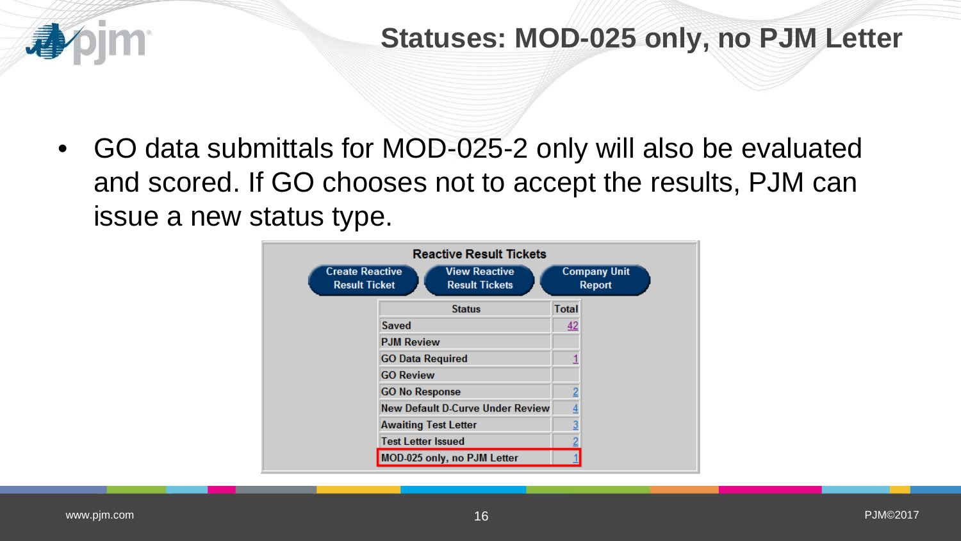

## **Statuses: MOD-025 only, no PJM Letter**

• GO data submittals for MOD-025-2 only will also be evaluated and scored. If GO chooses not to accept the results, PJM can issue a new status type.

|                                                | <b>Reactive Result Tickets</b>                |              |                                      |
|------------------------------------------------|-----------------------------------------------|--------------|--------------------------------------|
| <b>Create Reactive</b><br><b>Result Ticket</b> | <b>View Reactive</b><br><b>Result Tickets</b> |              | <b>Company Unit</b><br><b>Report</b> |
|                                                | <b>Status</b>                                 | <b>Total</b> |                                      |
|                                                | Saved                                         | <u>42</u>    |                                      |
|                                                | <b>PJM Review</b>                             |              |                                      |
|                                                | <b>GO Data Required</b>                       |              |                                      |
|                                                | <b>GO Review</b>                              |              |                                      |
|                                                | <b>GO No Response</b>                         |              |                                      |
|                                                | <b>New Default D-Curve Under Review</b>       |              |                                      |
|                                                | <b>Awaiting Test Letter</b>                   |              |                                      |
|                                                | <b>Test Letter Issued</b>                     |              |                                      |
|                                                | MOD-025 only, no PJM Letter                   |              |                                      |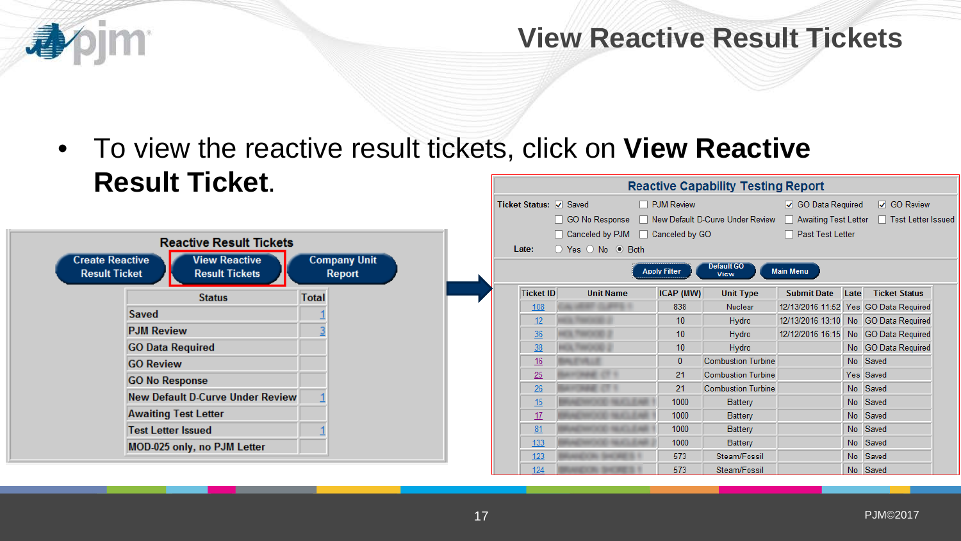

## **View Reactive Result Tickets**

• To view the reactive result tickets, click on **View Reactive Result Ticket**.**Reactive Capability Testing Report** 

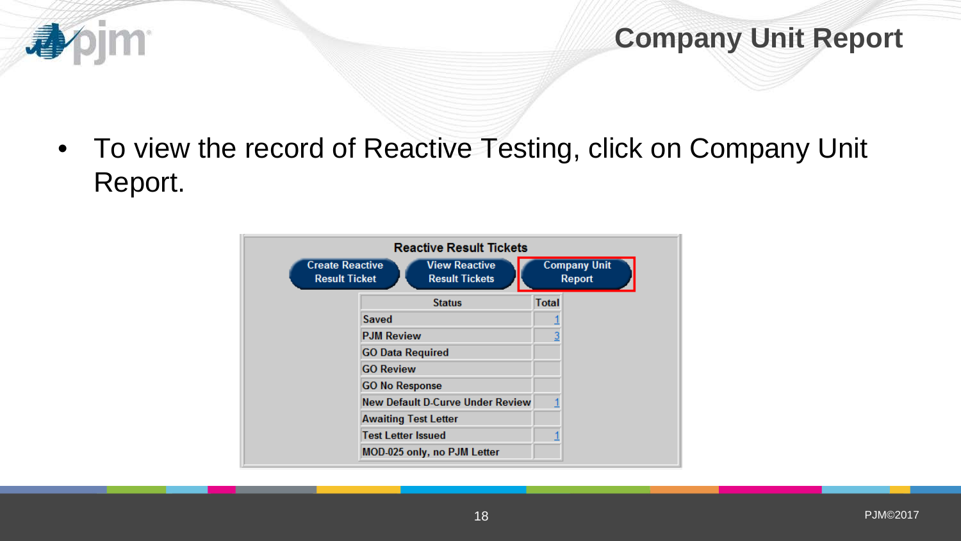

• To view the record of Reactive Testing, click on Company Unit Report.

**pjm** 

小

| <b>Create Reactive</b><br><b>Result Ticket</b> | <b>Reactive Result Tickets</b><br><b>View Reactive</b><br><b>Result Tickets</b> |              | <b>Company Unit</b><br><b>Report</b> |
|------------------------------------------------|---------------------------------------------------------------------------------|--------------|--------------------------------------|
|                                                | <b>Status</b>                                                                   | <b>Total</b> |                                      |
| Saved                                          |                                                                                 |              |                                      |
| <b>PJM Review</b>                              |                                                                                 |              |                                      |
| <b>GO Data Required</b>                        |                                                                                 |              |                                      |
| <b>GO Review</b>                               |                                                                                 |              |                                      |
| <b>GO No Response</b>                          |                                                                                 |              |                                      |
|                                                | <b>New Default D-Curve Under Review</b>                                         |              |                                      |
| <b>Awaiting Test Letter</b>                    |                                                                                 |              |                                      |
| <b>Test Letter Issued</b>                      |                                                                                 |              |                                      |
|                                                | MOD-025 only, no PJM Letter                                                     |              |                                      |